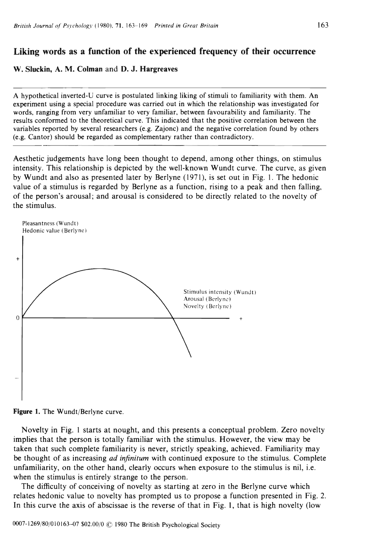# Liking words as a function of the experienced frequency of their occurrence

W. Sluckin, A. M. Colman and D. J. Hargreaves

A hypothetical inverted-U curve is postulated linking liking of stimuli to familiarity with them. An experiment using a special procedure was carried out in which the relationship was investigated for words, ranging from very unfamiliar to very familiar, between favourability and familiarity. The results conformed to the theoretical curve. This indicated that the positive correlation between the variables reported by several researchers (e.g. Zajonc) and the negative correlation found by others (e.g. Cantor) should be regarded as complementary rather than contradictory.

Aesthetic judgements have long been thought to depend, among other things, on stimulus intensity. This relationship is depicted by the well-known Wundt curve. The curve, as given by Wundt and also as presented later by Berlyne (1971), is set out in Fig. I. The hedonic value of a stimulus is regarded by Berlyne as a function, rising to a peak and then falling, of the person's arousal; and arousal is considered to be directly related to the novelty of the stimulus.





Novelty in Fig. 1 starts at nought, and this presents a conceptual problem. Zero novelty implies that the person is totally familiar with the stimulus. However, the view may be taken that such complete familiarity is never, strictly speaking, achieved. Familiarity may be thought of as increasing *ad infinitum* with continued exposure to the stimulus. Complete unfamiliarity, on the other hand, clearly occurs when exposure to the stimulus is nil, i.e. when the stimulus is entirely strange to the person.

The difficulty of conceiving of novelty as starting at zero in the Berlyne curve which relates hedonic value to novelty has prompted us to propose a function presented in Fig. 2. In this curve the axis of abscissae is the reverse of that in Fig. 1, that is high novelty (low

0007-1269/80/010163-07 \$02.00/0 © 1980 The British Psychological Society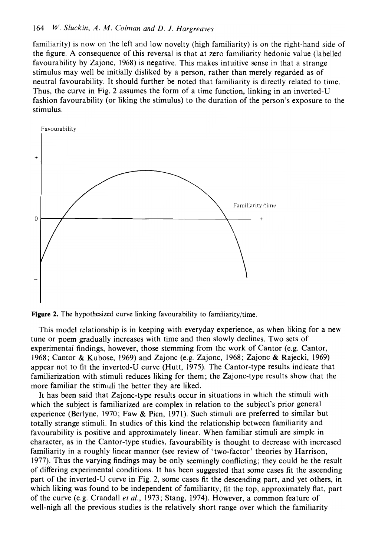# *164* W. *S/uckin, A. M. Co/man and D.* 1. *Hargreaves*

familiarity) is now on the left and low novelty (high familiarity) is on the right-hand side of the figure. A consequence of this reversal is that at zero familiarity hedonic value (labelled favourability by Zajonc, 1968) is negative. This makes intuitive sense in that a strange stimulus may well be initially disliked by a person, rather than merely regarded as of neutral favourability. It should further be noted that familiarity is directly related to time. Thus, the curve in Fig. 2 assumes the form of a time function, linking in an inverted-U fashion favourability (or liking the stimulus) to the duration of the person's exposure to the stimulus.





This model relationship is in keeping with everyday experience, as when liking for a new tune or poem gradually increases with time and then slowly declines. Two sets of experimental findings, however, those stemming from the work of Cantor (e.g. Cantor, 1968; Cantor & Kubose, 1969) and Zajonc (e.g. Zajonc, 1968; Zajonc & Rajecki, 1969) appear not to fit the inverted-U curve (Hutt, 1975). The Cantor-type results indicate that familiarization with stimuli reduces liking for them; the Zajonc-type results show that the more familiar the stimuli the better they are liked.

It has been said that Zajonc-type results occur in situations in which the stimuli with which the subject is familiarized are complex in relation to the subject's prior general experience (Berlyne, 1970; Faw & Pien, 1971). Such stimuli are preferred to similar but totally strange stimuli. **In** studies of this kind the relationship between familiarity and favourability is positive and approximately linear. When familiar stimuli are simple in character, as in the Cantor-type studies, favourability is thought to decrease with increased familiarity in a roughly linear manner (see review of 'two-factor' theories by Harrison, 1977). Thus the varying findings may be only seemingly conflicting; they could be the result of differing experimental conditions. It has been suggested that some cases fit the ascending part of the inverted-U curve in Fig. 2, some cases fit the descending part, and yet others, in which liking was found to be independent of familiarity, fit the top, approximately flat, part of the curve (e.g. Crandall *et al.,* 1973; Stang, 1974). However, a common feature of well-nigh all the previous studies is the relatively short range over which the familiarity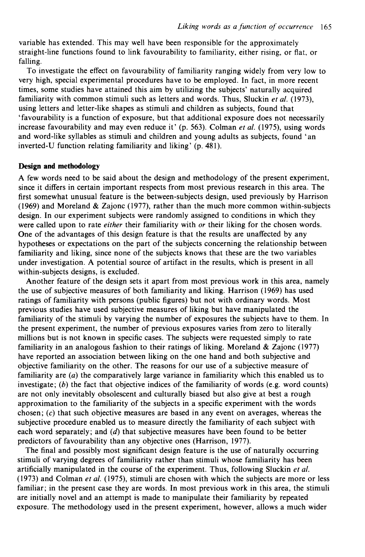variable has extended. This may well have been responsible for the approximately straight-line functions found to link favourability to familiarity, either rising, or flat, or falling.

To investigate the effect on favourability of familiarity ranging widely from very low to very high, special experimental procedures have to be employed. In fact, in more recent times, some studies have attained this aim by utilizing the subjects' naturally acquired familiarity with common stimuli such as letters and words. Thus, Sluckin *et al. (1973),*  using letters and letter-like shapes as stimuli and children as subjects, found that 'favourability is a function of exposure, but that additional exposure does not necessarily increase favourability and may even reduce it' (p. 563). Colman *et al.* (1975), using words and word-like syllables as stimuli and children and young adults as subjects, found' an inverted-U function relating familiarity and liking' (p. 481).

#### **Design and methodology**

A few words need to be said about the design and methodology of the present experiment, since it differs in certain important respects from most previous research in this area. The first somewhat unusual feature is the between-subjects design, used previously by Harrison (1969) and Moreland & Zajonc (1977), rather than the much more common within-subjects design. In our experiment subjects were randomly assigned to conditions in which they were called upon to rate *either* their familiarity with *or* their liking for the chosen words. One of the advantages of this design feature is that the results are unaffected by any hypotheses or expectations on the part of the subjects concerning the relationship between familiarity and liking, since none of the subjects knows that these are the two variables under investigation. A potential source of artifact in the results, which is present in all within-subjects designs, is excluded.

Another feature of the design sets it apart from most previous work in this area, namely the use of subjective measures of both familiarity and liking. Harrison (1969) has used ratings of familiarity with persons (public figures) but not with ordinary words. Most previous studies have used subjective measures of liking but have manipulated the familiarity of the stimuli by varying the number of exposures the subjects have to them. In the present experiment, the number of previous exposures varies from zero to literally millions but is not known in specific cases. The subjects were requested simply to rate familiarity in an analogous fashion to their ratings of liking. Moreland & Zajonc (1977) have reported an association between liking on the one hand and both subjective and objective familiarity on the other. The reasons for our use of a subjective measure of familiarity are  $(a)$  the comparatively large variance in familiarity which this enabled us to investigate;  $(b)$  the fact that objective indices of the familiarity of words (e.g. word counts) are not only inevitably obsolescent and culturally biased but also give at best a rough approximation to the familiarity of the subjects in a specific experiment with the words chosen;  $(c)$  that such objective measures are based in any event on averages, whereas the subjective procedure enabled us to measure directly the familiarity of each subject with each word separately; and  $(d)$  that subjective measures have been found to be better predictors of favourability than any objective ones (Harrison, 1977).

The final and possibly most significant design feature is the use of naturally occurring stimuli of varying degrees of familiarity rather than stimuli whose familiarity has been artificially manipulated in the course of the experiment. Thus, following Sluckin *et al.*  (1973) and Colman *et at.* (1975), stimuli are chosen with which the subjects are more or less familiar; in the present case they are words. In most previous work in this area, the stimuli are initially novel and an attempt is made to manipulate their familiarity by repeated exposure. The methodology used in the present experiment, however, allows a much wider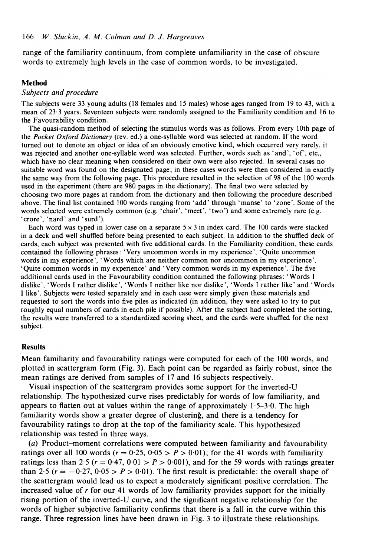range of the familiarity continuum, from complete unfamiliarity in the case of obscure words to extremely high levels in the case of common words, to be investigated.

# **Method**

## *Subjects and procedure*

The subjects were 33 young adults (18 females and 15 males) whose ages ranged from 19 to 43, with a mean of 23·3 years. Seventeen subjects were randomly assigned to the Familiarity condition and 16 to the Favourability condition.

The quasi-random method of selecting the stimulus words was as follows. From every 10th page of the *Pocket Oxford Dictionary* (rev. ed.) a one-syllable word was selected at random. If the word turned out to denote an object or idea of an obviously emotive kind, which occurred very rarely, it was rejected and another one-syllable word was selected. Further, words such as 'and', 'of', etc., which have no clear meaning when considered on their own were also rejected. In several cases no suitable word was found on the designated page; in these cases words were then considered in exactly the same way from the following page. This procedure resulted in the selection of 98 of the 100 words used in the experiment (there are 980 pages in the dictionary). The final two were selected by choosing two more pages at random from the dictionary and then following the procedure described above. The final list contained 100 words ranging from' add' through' manse' to 'zone'. Some of the words selected were extremely common (e.g. 'chair', 'meet', 'two') and some extremely rare (e.g. 'crore', 'nard' and 'surd ').

Each word was typed in lower case on a separate  $5 \times 3$  in index card. The 100 cards were stacked in a deck and well shuffled before being presented to each subject. In addition to the shuffled deck of cards, each subject was presented with five additional cards. In the Familiarity condition, these cards contained the following phrases: 'Very uncommon words in my experience', 'Quite uncommon words in my experience', 'Words which are neither common nor uncommon in my experience', 'Quite common words in my experience' and 'Very common words in my experience'. The five additional cards used in the Favourability condition contained the following phrases: 'Words I dislike', 'Words I rather dislike', 'Words I neither like nor dislike', 'Words I rather like' and 'Words I like'. Subjects were tested separately and in each case were simply given these materials and requested to sort the words into five piles as indicated (in addition, they were asked to try to put roughly equal numbers of cards in each pile if possible). After the subject had completed the sorting, the results were transferred to a standardized scoring sheet, and the cards were shuffled for the next subject.

#### Results

Mean familiarity and favourability ratings were computed for each of the 100 words, and plotted in scattergram form (Fig. 3). Each point can be regarded as fairly robust, since the mean ratings are derived from samples of 17 and 16 subjects respectively.

Visual inspection of the scattergram provides some support for the inverted-U relationship. The hypothesized curve rises predictably for words of low familiarity, and appears to flatten out at values within the range of approximately  $1.5-3.0$ . The high familiarity words show a greater degree of clustering, and there is a tendency for favourability ratings to drop at the top of the familiarity scale. This hypothesized relationship was tested in three ways.

(a) Product-moment correlations were computed between familiarity and favourability ratings over all 100 words ( $r = 0.25$ ,  $0.05 > P > 0.01$ ); for the 41 words with familiarity ratings less than  $2.5$  ( $r = 0.47, 0.01 > P > 0.001$ ), and for the 59 words with ratings greater than 2.5 ( $r = -0.27$ ,  $0.05 > P > 0.01$ ). The first result is predictable: the overall shape of the scattergram would lead us to expect a moderately significant positive correlation. The increased value of *r* for our 41 words of low familiarity provides support for the initially rising portion of the inverted-U curve, and the significant negative relationship for the words of higher subjective familiarity confirms that there is a fall in the curve within this range. Three regression lines have been drawn in Fig. 3 to illustrate these relationships.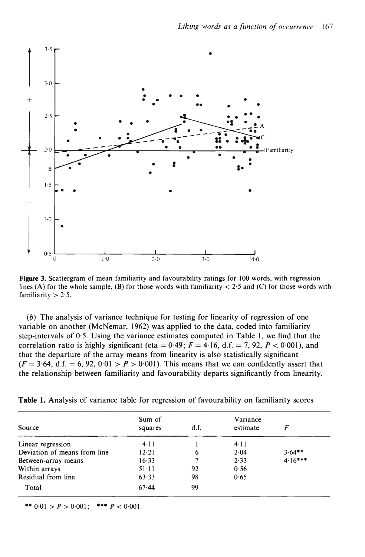

*Liking words as a junction oj occurrence* 167

Figure 3. Scattergram of mean familiarity and favourability ratings for 100 words, with regression lines (A) for the whole sample, (B) for those words with familiarity  $<$  2.5 and (C) for those words with familiarity  $> 2.5$ .

(b) The analysis of variance technique for testing for linearity of regression of one variable on another (McNemar, 1962) was applied to the data, coded into familiarity step-intervals of 0·5. Using the variance estimates computed in Table I, we find that the correlation ratio is highly significant (eta =  $0.49$ ;  $F = 4.16$ , d.f. = 7, 92,  $P < 0.001$ ), and that the departure of the array means from linearity is also statistically significant  $(F = 3.64, d.f. = 6, 92, 0.01 > P > 0.001$ . This means that we can confidently assert that the relationship between familiarity and favourability departs significantly from linearity.

|                              | Sum of       |      | Variance     |           |
|------------------------------|--------------|------|--------------|-----------|
| Source                       | squares      | d.f. | estimate     |           |
| Linear regression            | $4 \cdot 11$ |      | $4 \cdot 11$ |           |
| Deviation of means from line | 12.21        |      | 2.04         | $3.64**$  |
| Between-array means          | 16.33        |      | 2.33         | $4.16***$ |
| Within arrays                | $51 - 11$    | 92   | 0.56         |           |
| Residual from line           | 63.33        | 98   | 0.65         |           |

|  |  |  | Table 1. Analysis of variance table for regression of favourability on familiarity scores |  |
|--|--|--|-------------------------------------------------------------------------------------------|--|
|  |  |  |                                                                                           |  |

\*\*  $0.01 > P > 0.001$ ; \*\*\*  $P < 0.001$ .

Total 67.44 99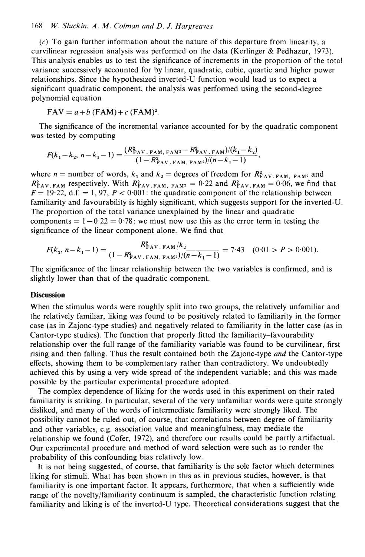## *168 W. Sluckin, A. M. Colman and D. J. Hargreaves*

 $(c)$  To gain further information about the nature of this departure from linearity, a curvilinear regression analysis was performed on the data (Kerlinger  $&$  Pedhazur, 1973). This analysis enables us to test the significance of increments in the proportion of the total variance successively accounted for by linear, quadratic, cubic, quartic and higher power relationships. Since the hypothesized inverted-U function would lead us to expect a significant quadratic component, the analysis was performed using the second-degree polynomial equation

$$
FAV = a + b (FAM) + c (FAM)^{2}.
$$

The significance of the incremental variance accounted for by the quadratic component was tested by computing

$$
F(k_1 - k_2, n - k_1 - 1) = \frac{(R_{\text{FAV. FAM, FAM}^2}^2 - R_{\text{FAV. FAM}}^2)(k_1 - k_2)}{(1 - R_{\text{FAV. FAM, FAM}}^2)(n - k_1 - 1)},
$$

where  $n =$  number of words,  $k_1$  and  $k_2 =$  degrees of freedom for  $R_{FAV.FAM, FAM}^2$  and  $R_{\text{FAV.FAM}}^2$  respectively. With  $R_{\text{FAV.FAM}}^2$  = 0.22 and  $R_{\text{FAV.FAM}}^2$  = 0.06, we find that  $F = 19.22$ , d.f. = 1, 97,  $P < 0.001$ : the quadratic component of the relationship between familiarity and favourability is highly significant, which suggests support for the inverted-U. The proportion of the total variance unexplained by the linear and quadratic components  $= 1 - 0.22 = 0.78$ : we must now use this as the error term in testing the significance of the linear component alone. We find that

$$
F(k_2, n-k_1-1) = \frac{R_{\text{FAV. FAM}}^2/k_2}{(1 - R_{\text{FAV. FAM. FAM}^2}^2/(n-k_1-1)} = 7.43 \quad (0.01 > P > 0.001).
$$

The significance of the linear relationship between the two variables is confirmed, and is slightly lower than that of the quadratic component.

# **Discussion**

When the stimulus words were roughly split into two groups, the relatively unfamiliar and the relatively familiar, liking was found to be positively related to familiarity in the former case (as in Zajonc-type studies) and negatively related to familiarity in the latter case (as in Cantor-type studies). The function that properly fitted the familiarity-favourability relationship over the full range of the familiarity variable was found to be curvilinear, first rising and then falling. Thus the result contained both the Zajonc-type *and* the Cantor-type effects, showing them to be complementary rather than contradictory. We undoubtedly achieved this by using a very wide spread of the independent variable; and this was made possible by the particular experimental procedure adopted.

The complex dependence of liking for the words used in this experiment on their rated familiarity is striking. In particular, several of the very unfamiliar words were quite strongly disliked, and many of the words of intermediate familiarity were strongly liked. The possibility cannot be ruled out, of course, that correlations between degree of familiarity and other variables, e.g. association value and meaningfulness, may mediate the relationship we found (Cofer, 1972), and therefore our results could be partly artifactual. Our experimental procedure and method of word selection were such as to render the probability of this confounding bias relatively low.

It is not being suggested, of course, that familiarity is the sole factor which determines liking for stimuli. What has been shown in this as in previous studies, however, is that familiarity is one important factor. It appears, furthermore, that when a sufficiently wide range of the novelty/familiarity continuum is sampled, the characteristic function relating familiarity and liking is of the inverted-U type. Theoretical considerations suggest that the